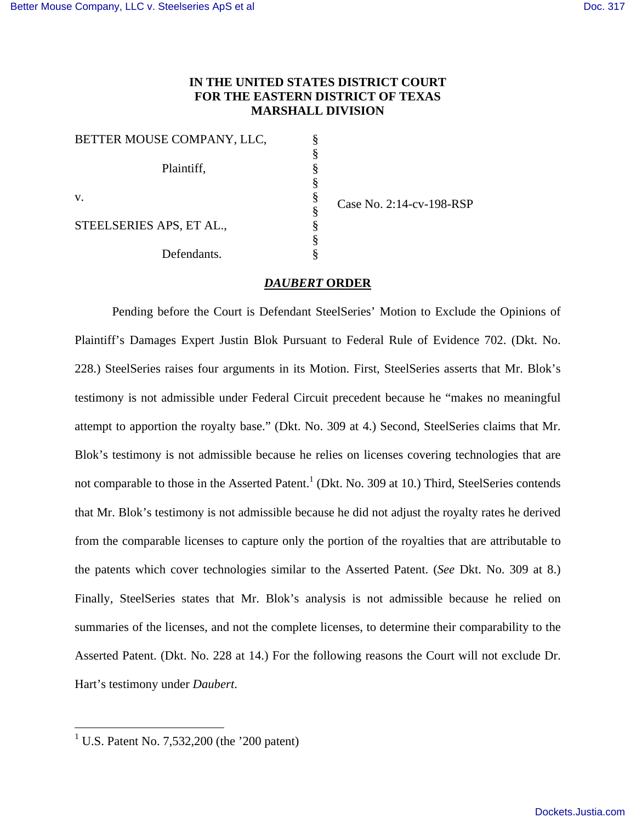# **IN THE UNITED STATES DISTRICT COURT FOR THE EASTERN DISTRICT OF TEXAS MARSHALL DIVISION**

§ § § § § § §

| BETTER MOUSE COMPANY, LLC, | § |
|----------------------------|---|
|                            | § |
| Plaintiff,                 |   |
|                            |   |
| V.                         | ş |
|                            | ş |
| STEELSERIES APS, ET AL.,   |   |
|                            | § |
| Defendants.                |   |

Case No. 2:14-cv-198-RSP

# *DAUBERT* **ORDER**

Pending before the Court is Defendant SteelSeries' Motion to Exclude the Opinions of Plaintiff's Damages Expert Justin Blok Pursuant to Federal Rule of Evidence 702. (Dkt. No. 228.) SteelSeries raises four arguments in its Motion. First, SteelSeries asserts that Mr. Blok's testimony is not admissible under Federal Circuit precedent because he "makes no meaningful attempt to apportion the royalty base." (Dkt. No. 309 at 4.) Second, SteelSeries claims that Mr. Blok's testimony is not admissible because he relies on licenses covering technologies that are not comparable to those in the Asserted Patent.<sup>1</sup> (Dkt. No. 309 at 10.) Third, SteelSeries contends that Mr. Blok's testimony is not admissible because he did not adjust the royalty rates he derived from the comparable licenses to capture only the portion of the royalties that are attributable to the patents which cover technologies similar to the Asserted Patent. (*See* Dkt. No. 309 at 8.) Finally, SteelSeries states that Mr. Blok's analysis is not admissible because he relied on summaries of the licenses, and not the complete licenses, to determine their comparability to the Asserted Patent. (Dkt. No. 228 at 14.) For the following reasons the Court will not exclude Dr. Hart's testimony under *Daubert*.

<u>.</u>

<sup>&</sup>lt;sup>1</sup> U.S. Patent No. 7,532,200 (the '200 patent)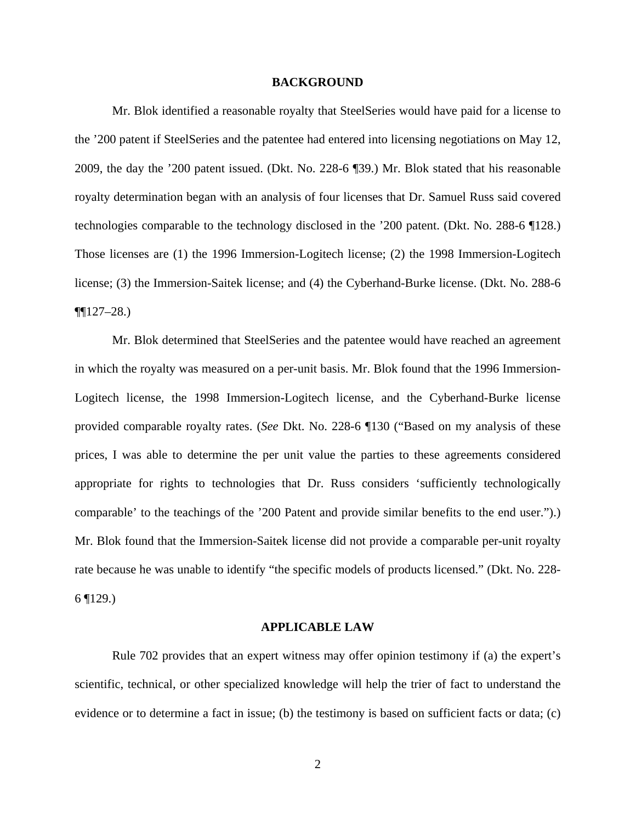#### **BACKGROUND**

Mr. Blok identified a reasonable royalty that SteelSeries would have paid for a license to the '200 patent if SteelSeries and the patentee had entered into licensing negotiations on May 12, 2009, the day the '200 patent issued. (Dkt. No. 228-6 ¶39.) Mr. Blok stated that his reasonable royalty determination began with an analysis of four licenses that Dr. Samuel Russ said covered technologies comparable to the technology disclosed in the '200 patent. (Dkt. No. 288-6 ¶128.) Those licenses are (1) the 1996 Immersion-Logitech license; (2) the 1998 Immersion-Logitech license; (3) the Immersion-Saitek license; and (4) the Cyberhand-Burke license. (Dkt. No. 288-6  $\P[127-28.$ 

 Mr. Blok determined that SteelSeries and the patentee would have reached an agreement in which the royalty was measured on a per-unit basis. Mr. Blok found that the 1996 Immersion-Logitech license, the 1998 Immersion-Logitech license, and the Cyberhand-Burke license provided comparable royalty rates. (*See* Dkt. No. 228-6 ¶130 ("Based on my analysis of these prices, I was able to determine the per unit value the parties to these agreements considered appropriate for rights to technologies that Dr. Russ considers 'sufficiently technologically comparable' to the teachings of the '200 Patent and provide similar benefits to the end user.").) Mr. Blok found that the Immersion-Saitek license did not provide a comparable per-unit royalty rate because he was unable to identify "the specific models of products licensed." (Dkt. No. 228-  $6$  | 129.)

### **APPLICABLE LAW**

 Rule 702 provides that an expert witness may offer opinion testimony if (a) the expert's scientific, technical, or other specialized knowledge will help the trier of fact to understand the evidence or to determine a fact in issue; (b) the testimony is based on sufficient facts or data; (c)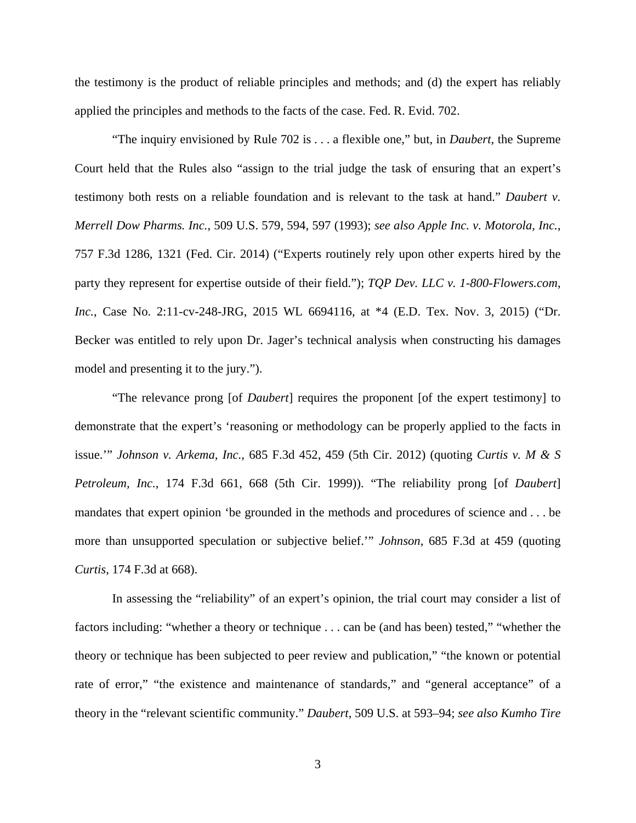the testimony is the product of reliable principles and methods; and (d) the expert has reliably applied the principles and methods to the facts of the case. Fed. R. Evid. 702.

"The inquiry envisioned by Rule 702 is . . . a flexible one," but, in *Daubert*, the Supreme Court held that the Rules also "assign to the trial judge the task of ensuring that an expert's testimony both rests on a reliable foundation and is relevant to the task at hand." *Daubert v. Merrell Dow Pharms. Inc.*, 509 U.S. 579, 594, 597 (1993); *see also Apple Inc. v. Motorola, Inc.*, 757 F.3d 1286, 1321 (Fed. Cir. 2014) ("Experts routinely rely upon other experts hired by the party they represent for expertise outside of their field."); *TQP Dev. LLC v. 1-800-Flowers.com, Inc.*, Case No. 2:11-cv-248-JRG, 2015 WL 6694116, at \*4 (E.D. Tex. Nov. 3, 2015) ("Dr. Becker was entitled to rely upon Dr. Jager's technical analysis when constructing his damages model and presenting it to the jury.").

"The relevance prong [of *Daubert*] requires the proponent [of the expert testimony] to demonstrate that the expert's 'reasoning or methodology can be properly applied to the facts in issue.'" *Johnson v. Arkema, Inc.*, 685 F.3d 452, 459 (5th Cir. 2012) (quoting *Curtis v. M & S Petroleum, Inc.*, 174 F.3d 661, 668 (5th Cir. 1999)). "The reliability prong [of *Daubert*] mandates that expert opinion 'be grounded in the methods and procedures of science and . . . be more than unsupported speculation or subjective belief.'" *Johnson*, 685 F.3d at 459 (quoting *Curtis*, 174 F.3d at 668).

In assessing the "reliability" of an expert's opinion, the trial court may consider a list of factors including: "whether a theory or technique . . . can be (and has been) tested," "whether the theory or technique has been subjected to peer review and publication," "the known or potential rate of error," "the existence and maintenance of standards," and "general acceptance" of a theory in the "relevant scientific community." *Daubert*, 509 U.S. at 593–94; *see also Kumho Tire*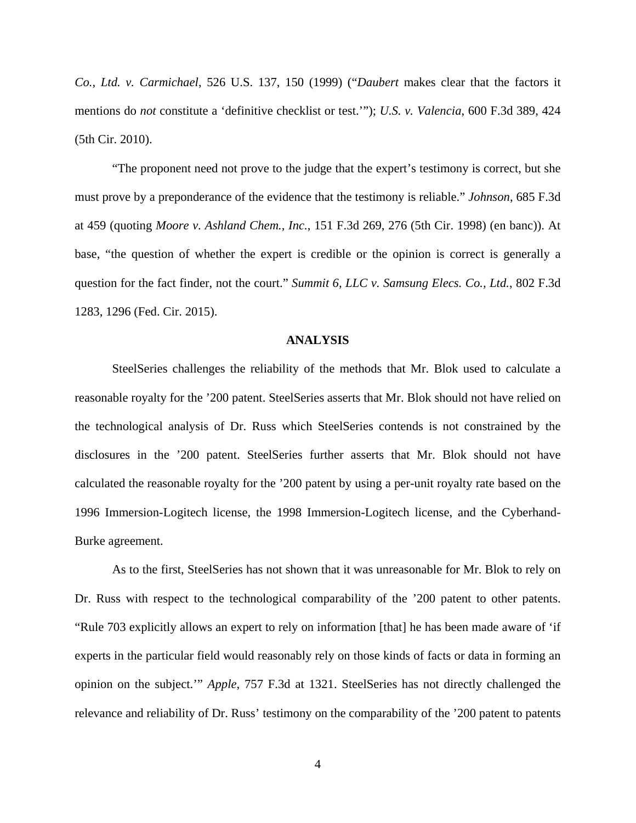*Co., Ltd. v. Carmichael*, 526 U.S. 137, 150 (1999) ("*Daubert* makes clear that the factors it mentions do *not* constitute a 'definitive checklist or test.'"); *U.S. v. Valencia*, 600 F.3d 389, 424 (5th Cir. 2010).

"The proponent need not prove to the judge that the expert's testimony is correct, but she must prove by a preponderance of the evidence that the testimony is reliable." *Johnson*, 685 F.3d at 459 (quoting *Moore v. Ashland Chem., Inc.*, 151 F.3d 269, 276 (5th Cir. 1998) (en banc)). At base, "the question of whether the expert is credible or the opinion is correct is generally a question for the fact finder, not the court." *Summit 6, LLC v. Samsung Elecs. Co., Ltd.*, 802 F.3d 1283, 1296 (Fed. Cir. 2015).

#### **ANALYSIS**

SteelSeries challenges the reliability of the methods that Mr. Blok used to calculate a reasonable royalty for the '200 patent. SteelSeries asserts that Mr. Blok should not have relied on the technological analysis of Dr. Russ which SteelSeries contends is not constrained by the disclosures in the '200 patent. SteelSeries further asserts that Mr. Blok should not have calculated the reasonable royalty for the '200 patent by using a per-unit royalty rate based on the 1996 Immersion-Logitech license, the 1998 Immersion-Logitech license, and the Cyberhand-Burke agreement.

As to the first, SteelSeries has not shown that it was unreasonable for Mr. Blok to rely on Dr. Russ with respect to the technological comparability of the '200 patent to other patents. "Rule 703 explicitly allows an expert to rely on information [that] he has been made aware of 'if experts in the particular field would reasonably rely on those kinds of facts or data in forming an opinion on the subject.'" *Apple*, 757 F.3d at 1321. SteelSeries has not directly challenged the relevance and reliability of Dr. Russ' testimony on the comparability of the '200 patent to patents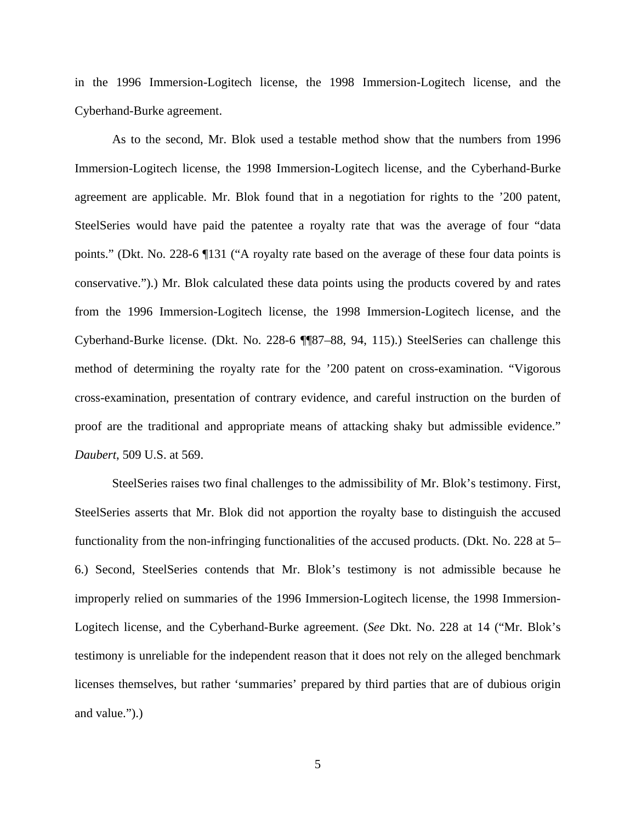in the 1996 Immersion-Logitech license, the 1998 Immersion-Logitech license, and the Cyberhand-Burke agreement.

As to the second, Mr. Blok used a testable method show that the numbers from 1996 Immersion-Logitech license, the 1998 Immersion-Logitech license, and the Cyberhand-Burke agreement are applicable. Mr. Blok found that in a negotiation for rights to the '200 patent, SteelSeries would have paid the patentee a royalty rate that was the average of four "data points." (Dkt. No. 228-6 ¶131 ("A royalty rate based on the average of these four data points is conservative.").) Mr. Blok calculated these data points using the products covered by and rates from the 1996 Immersion-Logitech license, the 1998 Immersion-Logitech license, and the Cyberhand-Burke license. (Dkt. No. 228-6 ¶¶87–88, 94, 115).) SteelSeries can challenge this method of determining the royalty rate for the '200 patent on cross-examination. "Vigorous cross-examination, presentation of contrary evidence, and careful instruction on the burden of proof are the traditional and appropriate means of attacking shaky but admissible evidence." *Daubert*, 509 U.S. at 569.

SteelSeries raises two final challenges to the admissibility of Mr. Blok's testimony. First, SteelSeries asserts that Mr. Blok did not apportion the royalty base to distinguish the accused functionality from the non-infringing functionalities of the accused products. (Dkt. No. 228 at 5– 6.) Second, SteelSeries contends that Mr. Blok's testimony is not admissible because he improperly relied on summaries of the 1996 Immersion-Logitech license, the 1998 Immersion-Logitech license, and the Cyberhand-Burke agreement. (*See* Dkt. No. 228 at 14 ("Mr. Blok's testimony is unreliable for the independent reason that it does not rely on the alleged benchmark licenses themselves, but rather 'summaries' prepared by third parties that are of dubious origin and value.").)